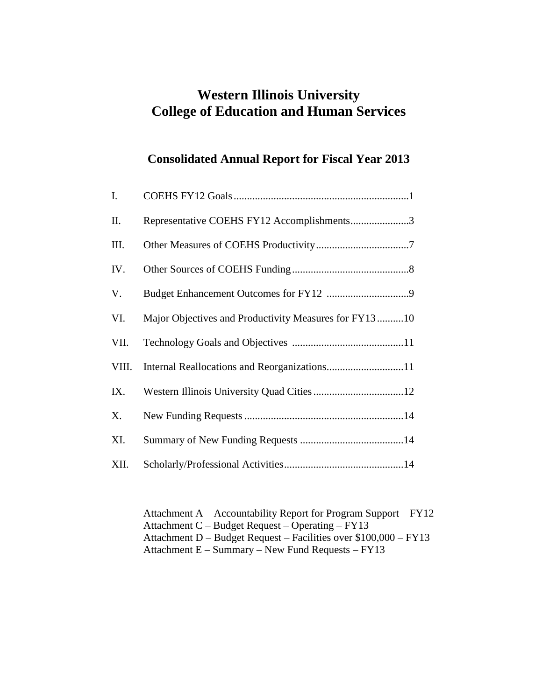# **Western Illinois University College of Education and Human Services**

# **Consolidated Annual Report for Fiscal Year 2013**

| I.    |                                                       |
|-------|-------------------------------------------------------|
| П.    | Representative COEHS FY12 Accomplishments3            |
| Ш.    |                                                       |
| IV.   |                                                       |
| V.    |                                                       |
| VI.   | Major Objectives and Productivity Measures for FY1310 |
| VII.  |                                                       |
| VIII. | Internal Reallocations and Reorganizations11          |
| IX.   |                                                       |
| X.    |                                                       |
| XI.   |                                                       |
| XII.  |                                                       |

Attachment A – Accountability Report for Program Support – FY12 Attachment C – Budget Request – Operating – FY13 Attachment D – Budget Request – Facilities over \$100,000 – FY13 Attachment E – Summary – New Fund Requests – FY13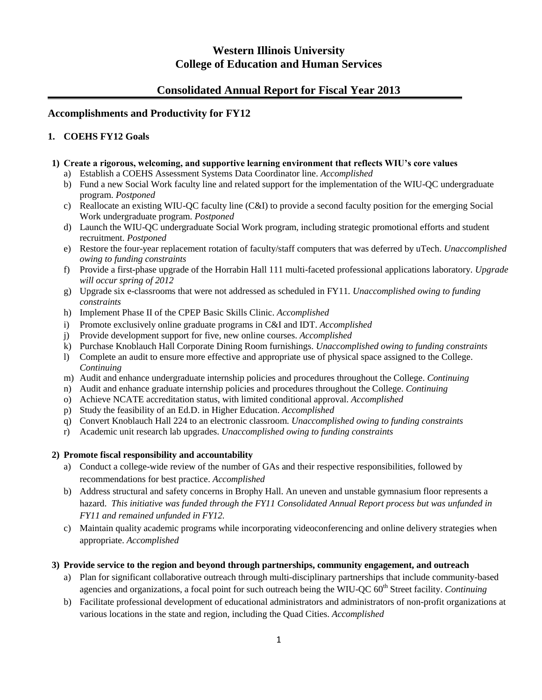# **Western Illinois University College of Education and Human Services**

# **Consolidated Annual Report for Fiscal Year 2013**

# **Accomplishments and Productivity for FY12**

# **1. COEHS FY12 Goals**

# **1) Create a rigorous, welcoming, and supportive learning environment that reflects WIU's core values**

- a) Establish a COEHS Assessment Systems Data Coordinator line. *Accomplished*
- b) Fund a new Social Work faculty line and related support for the implementation of the WIU-QC undergraduate program. *Postponed*
- c) Reallocate an existing WIU-QC faculty line (C&I) to provide a second faculty position for the emerging Social Work undergraduate program. *Postponed*
- d) Launch the WIU-QC undergraduate Social Work program, including strategic promotional efforts and student recruitment. *Postponed*
- e) Restore the four-year replacement rotation of faculty/staff computers that was deferred by uTech. *Unaccomplished owing to funding constraints*
- f) Provide a first-phase upgrade of the Horrabin Hall 111 multi-faceted professional applications laboratory. *Upgrade will occur spring of 2012*
- g) Upgrade six e-classrooms that were not addressed as scheduled in FY11*. Unaccomplished owing to funding constraints*
- h) Implement Phase II of the CPEP Basic Skills Clinic. *Accomplished*
- i) Promote exclusively online graduate programs in C&I and IDT. *Accomplished*
- j) Provide development support for five, new online courses. *Accomplished*
- k) Purchase Knoblauch Hall Corporate Dining Room furnishings. *Unaccomplished owing to funding constraints*
- l) Complete an audit to ensure more effective and appropriate use of physical space assigned to the College. *Continuing*
- m) Audit and enhance undergraduate internship policies and procedures throughout the College. *Continuing*
- n) Audit and enhance graduate internship policies and procedures throughout the College. *Continuing*
- o) Achieve NCATE accreditation status, with limited conditional approval. *Accomplished*
- p) Study the feasibility of an Ed.D. in Higher Education. *Accomplished*
- q) Convert Knoblauch Hall 224 to an electronic classroom. *Unaccomplished owing to funding constraints*
- r) Academic unit research lab upgrades. *Unaccomplished owing to funding constraints*

# **2) Promote fiscal responsibility and accountability**

- a) Conduct a college-wide review of the number of GAs and their respective responsibilities, followed by recommendations for best practice. *Accomplished*
- b) Address structural and safety concerns in Brophy Hall. An uneven and unstable gymnasium floor represents a hazard. *This initiative was funded through the FY11 Consolidated Annual Report process but was unfunded in FY11 and remained unfunded in FY12.*
- c) Maintain quality academic programs while incorporating videoconferencing and online delivery strategies when appropriate. *Accomplished*

# **3) Provide service to the region and beyond through partnerships, community engagement, and outreach**

- a) Plan for significant collaborative outreach through multi-disciplinary partnerships that include community-based agencies and organizations, a focal point for such outreach being the WIU-QC 60<sup>th</sup> Street facility. *Continuing*
- b) Facilitate professional development of educational administrators and administrators of non-profit organizations at various locations in the state and region, including the Quad Cities. *Accomplished*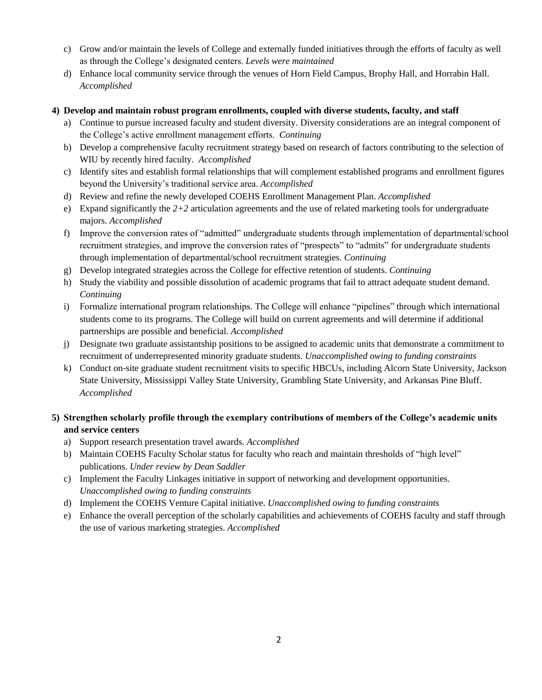- c) Grow and/or maintain the levels of College and externally funded initiatives through the efforts of faculty as well as through the College's designated centers. *Levels were maintained*
- d) Enhance local community service through the venues of Horn Field Campus, Brophy Hall, and Horrabin Hall. *Accomplished*

## **4) Develop and maintain robust program enrollments, coupled with diverse students, faculty, and staff**

- a) Continue to pursue increased faculty and student diversity. Diversity considerations are an integral component of the College's active enrollment management efforts. *Continuing*
- b) Develop a comprehensive faculty recruitment strategy based on research of factors contributing to the selection of WIU by recently hired faculty. *Accomplished*
- c) Identify sites and establish formal relationships that will complement established programs and enrollment figures beyond the University's traditional service area. *Accomplished*
- d) Review and refine the newly developed COEHS Enrollment Management Plan. *Accomplished*
- e) Expand significantly the *2+2* articulation agreements and the use of related marketing tools for undergraduate majors. *Accomplished*
- f) Improve the conversion rates of "admitted" undergraduate students through implementation of departmental/school recruitment strategies, and improve the conversion rates of "prospects" to "admits" for undergraduate students through implementation of departmental/school recruitment strategies. *Continuing*
- g) Develop integrated strategies across the College for effective retention of students. *Continuing*
- h) Study the viability and possible dissolution of academic programs that fail to attract adequate student demand. *Continuing*
- i) Formalize international program relationships. The College will enhance "pipelines" through which international students come to its programs. The College will build on current agreements and will determine if additional partnerships are possible and beneficial. *Accomplished*
- j) Designate two graduate assistantship positions to be assigned to academic units that demonstrate a commitment to recruitment of underrepresented minority graduate students. *Unaccomplished owing to funding constraints*
- k) Conduct on-site graduate student recruitment visits to specific HBCUs, including Alcorn State University, Jackson State University, Mississippi Valley State University, Grambling State University, and Arkansas Pine Bluff. *Accomplished*

# **5) Strengthen scholarly profile through the exemplary contributions of members of the College's academic units and service centers**

- a) Support research presentation travel awards*. Accomplished*
- b) Maintain COEHS Faculty Scholar status for faculty who reach and maintain thresholds of "high level" publications. *Under review by Dean Saddler*
- c) Implement the Faculty Linkages initiative in support of networking and development opportunities. *Unaccomplished owing to funding constraints*
- d) Implement the COEHS Venture Capital initiative. *Unaccomplished owing to funding constraints*
- e) Enhance the overall perception of the scholarly capabilities and achievements of COEHS faculty and staff through the use of various marketing strategies. *Accomplished*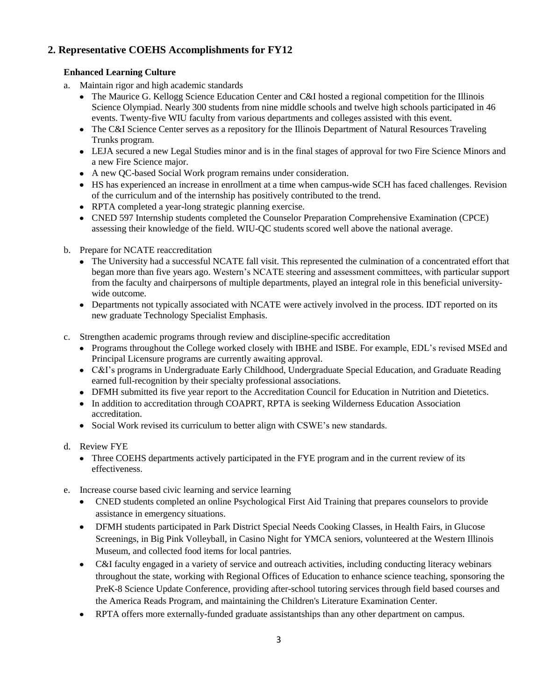# **2. Representative COEHS Accomplishments for FY12**

# **Enhanced Learning Culture**

- a. Maintain rigor and high academic standards
	- The Maurice G. Kellogg Science Education Center and C&I hosted a regional competition for the Illinois Science Olympiad. Nearly 300 students from nine middle schools and twelve high schools participated in 46 events. Twenty-five WIU faculty from various departments and colleges assisted with this event.
	- The C&I Science Center serves as a repository for the Illinois Department of Natural Resources Traveling Trunks program.
	- LEJA secured a new Legal Studies minor and is in the final stages of approval for two Fire Science Minors and a new Fire Science major.
	- A new QC-based Social Work program remains under consideration.
	- HS has experienced an increase in enrollment at a time when campus-wide SCH has faced challenges. Revision of the curriculum and of the internship has positively contributed to the trend.
	- RPTA completed a year-long strategic planning exercise.
	- CNED 597 Internship students completed the Counselor Preparation Comprehensive Examination (CPCE) assessing their knowledge of the field. WIU-QC students scored well above the national average.
- b. Prepare for NCATE reaccreditation
	- The University had a successful NCATE fall visit. This represented the culmination of a concentrated effort that began more than five years ago. Western's NCATE steering and assessment committees, with particular support from the faculty and chairpersons of multiple departments, played an integral role in this beneficial universitywide outcome.
	- Departments not typically associated with NCATE were actively involved in the process. IDT reported on its new graduate Technology Specialist Emphasis.
- c. Strengthen academic programs through review and discipline-specific accreditation
	- Programs throughout the College worked closely with IBHE and ISBE. For example, EDL's revised MSEd and Principal Licensure programs are currently awaiting approval.
	- C&I's programs in Undergraduate Early Childhood, Undergraduate Special Education, and Graduate Reading earned full-recognition by their specialty professional associations.
	- DFMH submitted its five year report to the Accreditation Council for Education in Nutrition and Dietetics.
	- In addition to accreditation through COAPRT, RPTA is seeking Wilderness Education Association accreditation.
	- Social Work revised its curriculum to better align with CSWE's new standards.
- d. Review FYE
	- Three COEHS departments actively participated in the FYE program and in the current review of its effectiveness.
- e. Increase course based civic learning and service learning
	- CNED students completed an online Psychological First Aid Training that prepares counselors to provide assistance in emergency situations.
	- DFMH students participated in Park District Special Needs Cooking Classes, in Health Fairs, in Glucose Screenings, in Big Pink Volleyball, in Casino Night for YMCA seniors, volunteered at the Western Illinois Museum, and collected food items for local pantries.
	- C&I faculty engaged in a variety of service and outreach activities, including conducting literacy webinars throughout the state, working with Regional Offices of Education to enhance science teaching, sponsoring the PreK-8 Science Update Conference, providing after-school tutoring services through field based courses and the America Reads Program, and maintaining the Children's Literature Examination Center.
	- RPTA offers more externally-funded graduate assistantships than any other department on campus. $\bullet$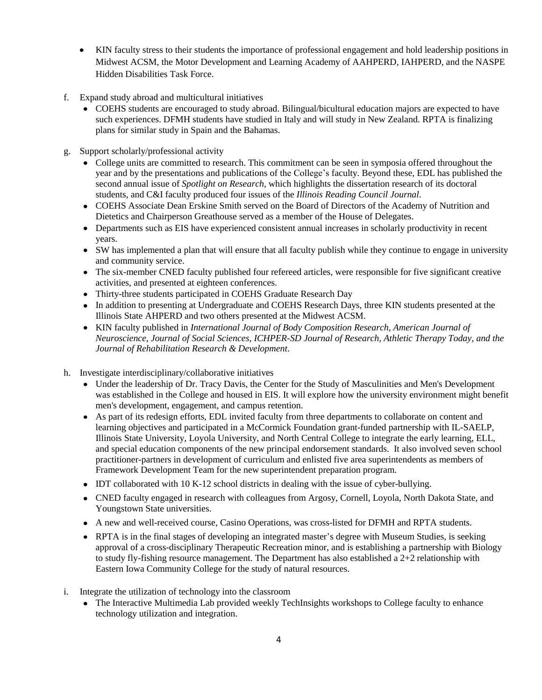- KIN faculty stress to their students the importance of professional engagement and hold leadership positions in Midwest ACSM, the Motor Development and Learning Academy of AAHPERD, IAHPERD, and the NASPE Hidden Disabilities Task Force.
- f. Expand study abroad and multicultural initiatives
	- COEHS students are encouraged to study abroad. Bilingual/bicultural education majors are expected to have such experiences. DFMH students have studied in Italy and will study in New Zealand. RPTA is finalizing plans for similar study in Spain and the Bahamas.
- g. Support scholarly/professional activity
	- College units are committed to research. This commitment can be seen in symposia offered throughout the year and by the presentations and publications of the College's faculty. Beyond these, EDL has published the second annual issue of *Spotlight on Research*, which highlights the dissertation research of its doctoral students, and C&I faculty produced four issues of the *Illinois Reading Council Journal*.
	- COEHS Associate Dean Erskine Smith served on the Board of Directors of the Academy of Nutrition and Dietetics and Chairperson Greathouse served as a member of the House of Delegates.
	- Departments such as EIS have experienced consistent annual increases in scholarly productivity in recent years.
	- SW has implemented a plan that will ensure that all faculty publish while they continue to engage in university and community service.
	- The six-member CNED faculty published four refereed articles, were responsible for five significant creative activities, and presented at eighteen conferences.
	- Thirty-three students participated in COEHS Graduate Research Day
	- In addition to presenting at Undergraduate and COEHS Research Days, three KIN students presented at the Illinois State AHPERD and two others presented at the Midwest ACSM.
	- KIN faculty published in *International Journal of Body Composition Research, American Journal of Neuroscience, Journal of Social Sciences, ICHPER-SD Journal of Research, Athletic Therapy Today, and the Journal of Rehabilitation Research & Development*.
- h. Investigate interdisciplinary/collaborative initiatives
	- Under the leadership of Dr. Tracy Davis, the Center for the Study of Masculinities and Men's Development was established in the College and housed in EIS. It will explore how the university environment might benefit men's development, engagement, and campus retention.
	- As part of its redesign efforts, EDL invited faculty from three departments to collaborate on content and learning objectives and participated in a McCormick Foundation grant-funded partnership with IL-SAELP, Illinois State University, Loyola University, and North Central College to integrate the early learning, ELL, and special education components of the new principal endorsement standards. It also involved seven school practitioner-partners in development of curriculum and enlisted five area superintendents as members of Framework Development Team for the new superintendent preparation program.
	- IDT collaborated with 10 K-12 school districts in dealing with the issue of cyber-bullying.
	- CNED faculty engaged in research with colleagues from Argosy, Cornell, Loyola, North Dakota State, and Youngstown State universities.
	- A new and well-received course, Casino Operations, was cross-listed for DFMH and RPTA students.
	- RPTA is in the final stages of developing an integrated master's degree with Museum Studies, is seeking approval of a cross-disciplinary Therapeutic Recreation minor, and is establishing a partnership with Biology to study fly-fishing resource management. The Department has also established a 2+2 relationship with Eastern Iowa Community College for the study of natural resources.
- i. Integrate the utilization of technology into the classroom
	- The Interactive Multimedia Lab provided weekly TechInsights workshops to College faculty to enhance technology utilization and integration.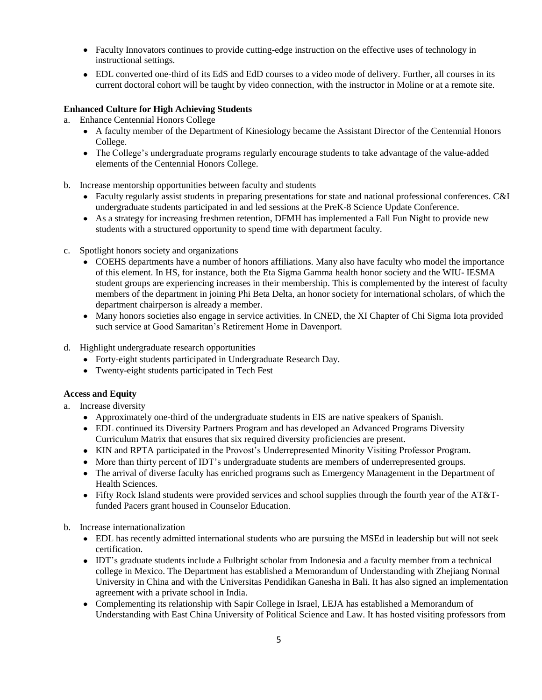- Faculty Innovators continues to provide cutting-edge instruction on the effective uses of technology in instructional settings.
- EDL converted one-third of its EdS and EdD courses to a video mode of delivery. Further, all courses in its current doctoral cohort will be taught by video connection, with the instructor in Moline or at a remote site.

## **Enhanced Culture for High Achieving Students**

- a. Enhance Centennial Honors College
	- A faculty member of the Department of Kinesiology became the Assistant Director of the Centennial Honors College.
	- The College's undergraduate programs regularly encourage students to take advantage of the value-added elements of the Centennial Honors College.
- b. Increase mentorship opportunities between faculty and students
	- Faculty regularly assist students in preparing presentations for state and national professional conferences. C&I undergraduate students participated in and led sessions at the PreK-8 Science Update Conference.
	- As a strategy for increasing freshmen retention, DFMH has implemented a Fall Fun Night to provide new students with a structured opportunity to spend time with department faculty.
- c. Spotlight honors society and organizations
	- COEHS departments have a number of honors affiliations. Many also have faculty who model the importance of this element. In HS, for instance, both the Eta Sigma Gamma health honor society and the WIU- IESMA student groups are experiencing increases in their membership. This is complemented by the interest of faculty members of the department in joining Phi Beta Delta, an honor society for international scholars, of which the department chairperson is already a member.
	- Many honors societies also engage in service activities. In CNED, the XI Chapter of Chi Sigma Iota provided such service at Good Samaritan's Retirement Home in Davenport.
- d. Highlight undergraduate research opportunities
	- Forty-eight students participated in Undergraduate Research Day.
	- Twenty-eight students participated in Tech Fest

#### **Access and Equity**

- a. Increase diversity
	- Approximately one-third of the undergraduate students in EIS are native speakers of Spanish.
	- EDL continued its Diversity Partners Program and has developed an Advanced Programs Diversity Curriculum Matrix that ensures that six required diversity proficiencies are present.
	- KIN and RPTA participated in the Provost's Underrepresented Minority Visiting Professor Program.
	- More than thirty percent of IDT's undergraduate students are members of underrepresented groups.
	- The arrival of diverse faculty has enriched programs such as Emergency Management in the Department of Health Sciences.
	- Fifty Rock Island students were provided services and school supplies through the fourth year of the AT&Tfunded Pacers grant housed in Counselor Education.
- b. Increase internationalization
	- EDL has recently admitted international students who are pursuing the MSEd in leadership but will not seek certification.
	- IDT's graduate students include a Fulbright scholar from Indonesia and a faculty member from a technical college in Mexico. The Department has established a Memorandum of Understanding with Zhejiang Normal University in China and with the Universitas Pendidikan Ganesha in Bali. It has also signed an implementation agreement with a private school in India.
	- Complementing its relationship with Sapir College in Israel, LEJA has established a Memorandum of Understanding with East China University of Political Science and Law. It has hosted visiting professors from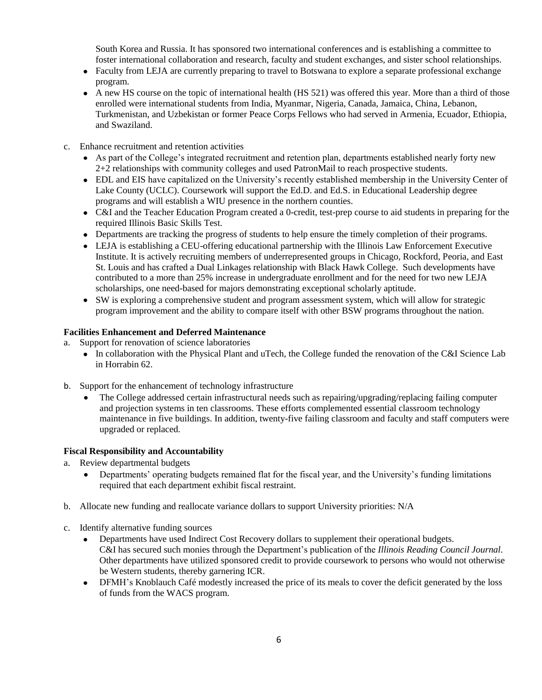South Korea and Russia. It has sponsored two international conferences and is establishing a committee to foster international collaboration and research, faculty and student exchanges, and sister school relationships.

- Faculty from LEJA are currently preparing to travel to Botswana to explore a separate professional exchange program.
- A new HS course on the topic of international health (HS 521) was offered this year. More than a third of those enrolled were international students from India, Myanmar, Nigeria, Canada, Jamaica, China, Lebanon, Turkmenistan, and Uzbekistan or former Peace Corps Fellows who had served in Armenia, Ecuador, Ethiopia, and Swaziland.
- c. Enhance recruitment and retention activities
	- As part of the College's integrated recruitment and retention plan, departments established nearly forty new 2+2 relationships with community colleges and used PatronMail to reach prospective students.
	- EDL and EIS have capitalized on the University's recently established membership in the University Center of Lake County (UCLC). Coursework will support the Ed.D. and Ed.S. in Educational Leadership degree programs and will establish a WIU presence in the northern counties.
	- C&I and the Teacher Education Program created a 0-credit, test-prep course to aid students in preparing for the required Illinois Basic Skills Test.
	- Departments are tracking the progress of students to help ensure the timely completion of their programs.
	- LEJA is establishing a CEU-offering educational partnership with the Illinois Law Enforcement Executive Institute. It is actively recruiting members of underrepresented groups in Chicago, Rockford, Peoria, and East St. Louis and has crafted a Dual Linkages relationship with Black Hawk College. Such developments have contributed to a more than 25% increase in undergraduate enrollment and for the need for two new LEJA scholarships, one need-based for majors demonstrating exceptional scholarly aptitude.
	- SW is exploring a comprehensive student and program assessment system, which will allow for strategic program improvement and the ability to compare itself with other BSW programs throughout the nation.

## **Facilities Enhancement and Deferred Maintenance**

- a. Support for renovation of science laboratories
	- In collaboration with the Physical Plant and uTech, the College funded the renovation of the C&I Science Lab in Horrabin 62.
- b. Support for the enhancement of technology infrastructure
	- The College addressed certain infrastructural needs such as repairing/upgrading/replacing failing computer and projection systems in ten classrooms. These efforts complemented essential classroom technology maintenance in five buildings. In addition, twenty-five failing classroom and faculty and staff computers were upgraded or replaced.

#### **Fiscal Responsibility and Accountability**

- a. Review departmental budgets
	- Departments' operating budgets remained flat for the fiscal year, and the University's funding limitations required that each department exhibit fiscal restraint.
- b. Allocate new funding and reallocate variance dollars to support University priorities: N/A
- c. Identify alternative funding sources
	- Departments have used Indirect Cost Recovery dollars to supplement their operational budgets. C&I has secured such monies through the Department's publication of the *Illinois Reading Council Journal*. Other departments have utilized sponsored credit to provide coursework to persons who would not otherwise be Western students, thereby garnering ICR.
	- $\bullet$  . DFMH's Knoblauch Café modestly increased the price of its meals to cover the deficit generated by the loss of funds from the WACS program.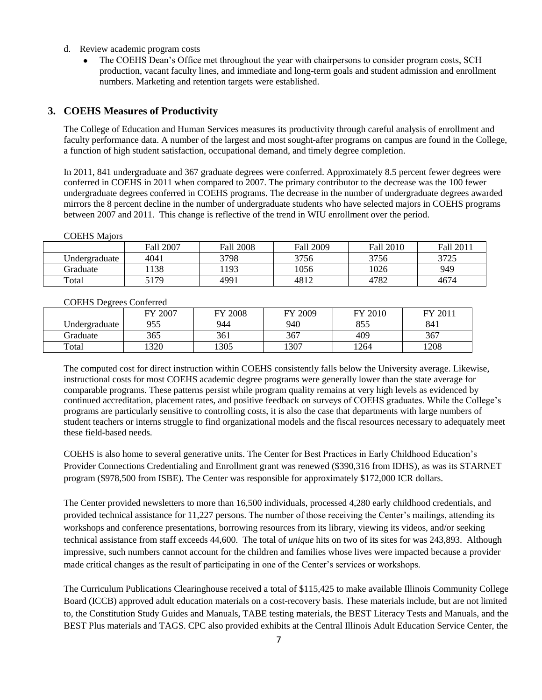- d. Review academic program costs
	- The COEHS Dean's Office met throughout the year with chairpersons to consider program costs, SCH production, vacant faculty lines, and immediate and long-term goals and student admission and enrollment numbers. Marketing and retention targets were established.

#### **3. COEHS Measures of Productivity**

The College of Education and Human Services measures its productivity through careful analysis of enrollment and faculty performance data. A number of the largest and most sought-after programs on campus are found in the College, a function of high student satisfaction, occupational demand, and timely degree completion.

In 2011, 841 undergraduate and 367 graduate degrees were conferred. Approximately 8.5 percent fewer degrees were conferred in COEHS in 2011 when compared to 2007. The primary contributor to the decrease was the 100 fewer undergraduate degrees conferred in COEHS programs. The decrease in the number of undergraduate degrees awarded mirrors the 8 percent decline in the number of undergraduate students who have selected majors in COEHS programs between 2007 and 2011. This change is reflective of the trend in WIU enrollment over the period.

|               | Fall 2007 | <b>Fall 2008</b> | Fall 2009 | <b>Fall 2010</b> | Fall 2011 |
|---------------|-----------|------------------|-----------|------------------|-----------|
| Undergraduate | 4041      | 3798             | 3756      | 3756             | 3725      |
| Graduate      | 138       | 193              | 1056      | 1026             | 949       |
| Total         | 5179      | 4991             | 4812      | 4782             | 4674      |

# COEHS Majors

|               | 2007<br>ГV | 2008<br>ГV | FY 2009 | Y 2010     | 2011<br>ГV |
|---------------|------------|------------|---------|------------|------------|
| ∪ndergraduate | 955        | 944        | 940     | 055<br>ບບບ | 841        |
| Graduate      | 365        | 361        | 367     | 409        | 367        |
| Total         | 320        | 1305       | 1307    | 1264       | 208        |

#### COEHS Degrees Conferred

The computed cost for direct instruction within COEHS consistently falls below the University average. Likewise, instructional costs for most COEHS academic degree programs were generally lower than the state average for comparable programs. These patterns persist while program quality remains at very high levels as evidenced by continued accreditation, placement rates, and positive feedback on surveys of COEHS graduates. While the College's programs are particularly sensitive to controlling costs, it is also the case that departments with large numbers of student teachers or interns struggle to find organizational models and the fiscal resources necessary to adequately meet these field-based needs.

COEHS is also home to several generative units. The Center for Best Practices in Early Childhood Education's Provider Connections Credentialing and Enrollment grant was renewed (\$390,316 from IDHS), as was its STARNET program (\$978,500 from ISBE). The Center was responsible for approximately \$172,000 ICR dollars.

The Center provided newsletters to more than 16,500 individuals, processed 4,280 early childhood credentials, and provided technical assistance for 11,227 persons. The number of those receiving the Center's mailings, attending its workshops and conference presentations, borrowing resources from its library, viewing its videos, and/or seeking technical assistance from staff exceeds 44,600. The total of *unique* hits on two of its sites for was 243,893. Although impressive, such numbers cannot account for the children and families whose lives were impacted because a provider made critical changes as the result of participating in one of the Center's services or workshops.

The Curriculum Publications Clearinghouse received a total of \$115,425 to make available Illinois Community College Board (ICCB) approved adult education materials on a cost-recovery basis. These materials include, but are not limited to, the Constitution Study Guides and Manuals, TABE testing materials, the BEST Literacy Tests and Manuals, and the BEST Plus materials and TAGS. CPC also provided exhibits at the Central Illinois Adult Education Service Center, the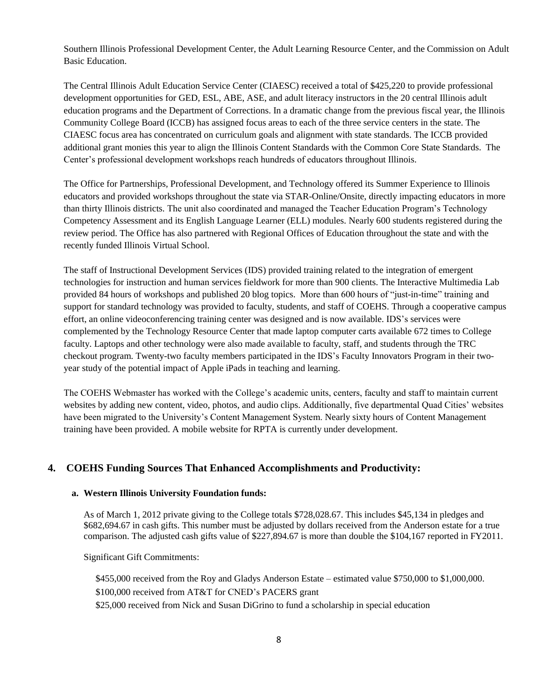Southern Illinois Professional Development Center, the Adult Learning Resource Center, and the Commission on Adult Basic Education.

The Central Illinois Adult Education Service Center (CIAESC) received a total of \$425,220 to provide professional development opportunities for GED, ESL, ABE, ASE, and adult literacy instructors in the 20 central Illinois adult education programs and the Department of Corrections. In a dramatic change from the previous fiscal year, the Illinois Community College Board (ICCB) has assigned focus areas to each of the three service centers in the state. The CIAESC focus area has concentrated on curriculum goals and alignment with state standards. The ICCB provided additional grant monies this year to align the Illinois Content Standards with the Common Core State Standards. The Center's professional development workshops reach hundreds of educators throughout Illinois.

The Office for Partnerships*,* Professional Development, and Technology offered its Summer Experience to Illinois educators and provided workshops throughout the state via STAR-Online/Onsite, directly impacting educators in more than thirty Illinois districts. The unit also coordinated and managed the Teacher Education Program's Technology Competency Assessment and its English Language Learner (ELL) modules. Nearly 600 students registered during the review period. The Office has also partnered with Regional Offices of Education throughout the state and with the recently funded Illinois Virtual School.

The staff of Instructional Development Services (IDS) provided training related to the integration of emergent technologies for instruction and human services fieldwork for more than 900 clients. The Interactive Multimedia Lab provided 84 hours of workshops and published 20 blog topics. More than 600 hours of "just-in-time" training and support for standard technology was provided to faculty, students, and staff of COEHS. Through a cooperative campus effort, an online videoconferencing training center was designed and is now available. IDS's services were complemented by the Technology Resource Center that made laptop computer carts available 672 times to College faculty. Laptops and other technology were also made available to faculty, staff, and students through the TRC checkout program. Twenty-two faculty members participated in the IDS's Faculty Innovators Program in their twoyear study of the potential impact of Apple iPads in teaching and learning.

The COEHS Webmaster has worked with the College's academic units, centers, faculty and staff to maintain current websites by adding new content, video, photos, and audio clips. Additionally, five departmental Quad Cities' websites have been migrated to the University's Content Management System. Nearly sixty hours of Content Management training have been provided. A mobile website for RPTA is currently under development.

# **4. COEHS Funding Sources That Enhanced Accomplishments and Productivity:**

#### **a. Western Illinois University Foundation funds:**

As of March 1, 2012 private giving to the College totals \$728,028.67. This includes \$45,134 in pledges and \$682,694.67 in cash gifts. This number must be adjusted by dollars received from the Anderson estate for a true comparison. The adjusted cash gifts value of \$227,894.67 is more than double the \$104,167 reported in FY2011.

Significant Gift Commitments:

\$455,000 received from the Roy and Gladys Anderson Estate – estimated value \$750,000 to \$1,000,000. \$100,000 received from AT&T for CNED's PACERS grant \$25,000 received from Nick and Susan DiGrino to fund a scholarship in special education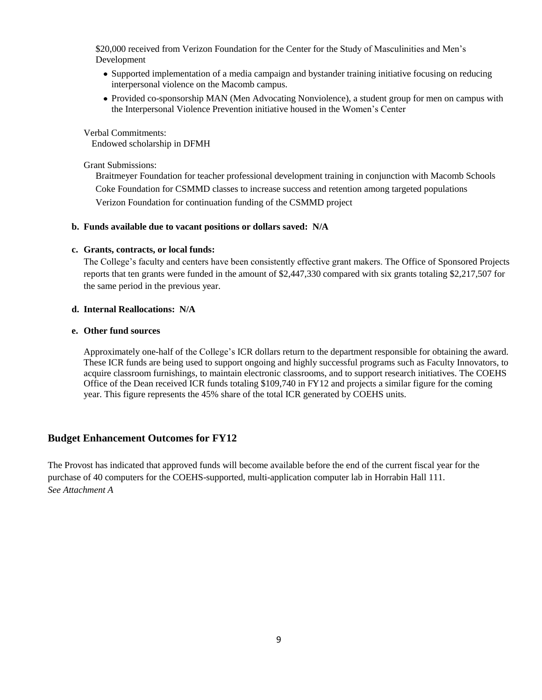\$20,000 received from Verizon Foundation for the Center for the Study of Masculinities and Men's Development

- Supported implementation of a media campaign and bystander training initiative focusing on reducing interpersonal violence on the Macomb campus.
- Provided co-sponsorship MAN (Men Advocating Nonviolence), a student group for men on campus with the Interpersonal Violence Prevention initiative housed in the Women's Center

Verbal Commitments: Endowed scholarship in DFMH

#### Grant Submissions:

Braitmeyer Foundation for teacher professional development training in conjunction with Macomb Schools Coke Foundation for CSMMD classes to increase success and retention among targeted populations Verizon Foundation for continuation funding of the CSMMD project

#### **b. Funds available due to vacant positions or dollars saved: N/A**

#### **c. Grants, contracts, or local funds:**

The College's faculty and centers have been consistently effective grant makers. The Office of Sponsored Projects reports that ten grants were funded in the amount of \$2,447,330 compared with six grants totaling \$2,217,507 for the same period in the previous year.

#### **d. Internal Reallocations: N/A**

## **e. Other fund sources**

Approximately one-half of the College's ICR dollars return to the department responsible for obtaining the award. These ICR funds are being used to support ongoing and highly successful programs such as Faculty Innovators, to acquire classroom furnishings, to maintain electronic classrooms, and to support research initiatives. The COEHS Office of the Dean received ICR funds totaling \$109,740 in FY12 and projects a similar figure for the coming year. This figure represents the 45% share of the total ICR generated by COEHS units.

# **Budget Enhancement Outcomes for FY12**

The Provost has indicated that approved funds will become available before the end of the current fiscal year for the purchase of 40 computers for the COEHS-supported, multi-application computer lab in Horrabin Hall 111. *See Attachment A*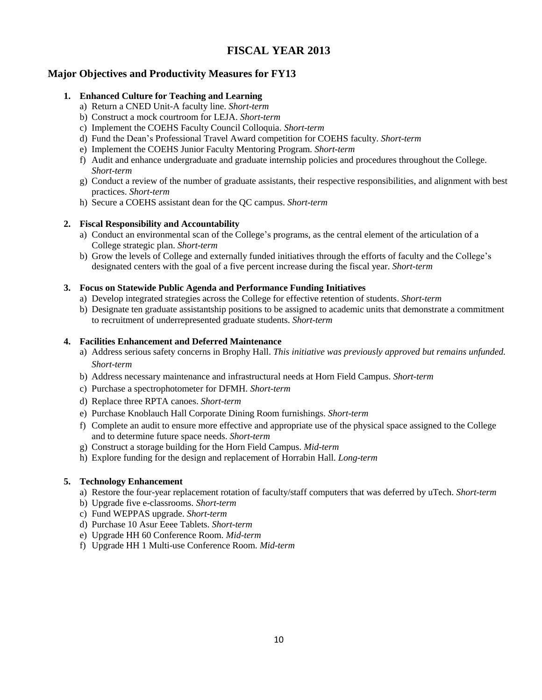# **FISCAL YEAR 2013**

# **Major Objectives and Productivity Measures for FY13**

# **1. Enhanced Culture for Teaching and Learning**

- a) Return a CNED Unit-A faculty line. *Short-term*
- b) Construct a mock courtroom for LEJA. *Short-term*
- c) Implement the COEHS Faculty Council Colloquia. *Short-term*
- d) Fund the Dean's Professional Travel Award competition for COEHS faculty. *Short-term*
- e) Implement the COEHS Junior Faculty Mentoring Program. *Short-term*
- f) Audit and enhance undergraduate and graduate internship policies and procedures throughout the College. *Short-term*
- g) Conduct a review of the number of graduate assistants, their respective responsibilities, and alignment with best practices. *Short-term*
- h) Secure a COEHS assistant dean for the QC campus. *Short-term*

# **2. Fiscal Responsibility and Accountability**

- a) Conduct an environmental scan of the College's programs, as the central element of the articulation of a College strategic plan. *Short-term*
- b) Grow the levels of College and externally funded initiatives through the efforts of faculty and the College's designated centers with the goal of a five percent increase during the fiscal year. *Short-term*

# **3. Focus on Statewide Public Agenda and Performance Funding Initiatives**

- a) Develop integrated strategies across the College for effective retention of students. *Short-term*
- b) Designate ten graduate assistantship positions to be assigned to academic units that demonstrate a commitment to recruitment of underrepresented graduate students. *Short-term*

# **4. Facilities Enhancement and Deferred Maintenance**

- a) Address serious safety concerns in Brophy Hall. *This initiative was previously approved but remains unfunded. Short-term*
- b) Address necessary maintenance and infrastructural needs at Horn Field Campus. *Short-term*
- c) Purchase a spectrophotometer for DFMH. *Short-term*
- d) Replace three RPTA canoes. *Short-term*
- e) Purchase Knoblauch Hall Corporate Dining Room furnishings. *Short-term*
- f) Complete an audit to ensure more effective and appropriate use of the physical space assigned to the College and to determine future space needs. *Short-term*
- g) Construct a storage building for the Horn Field Campus. *Mid-term*
- h) Explore funding for the design and replacement of Horrabin Hall. *Long-term*

# **5. Technology Enhancement**

- a) Restore the four-year replacement rotation of faculty/staff computers that was deferred by uTech. *Short-term*
- b) Upgrade five e-classrooms. *Short-term*
- c) Fund WEPPAS upgrade. *Short-term*
- d) Purchase 10 Asur Eeee Tablets. *Short-term*
- e) Upgrade HH 60 Conference Room. *Mid-term*
- f) Upgrade HH 1 Multi-use Conference Room. *Mid-term*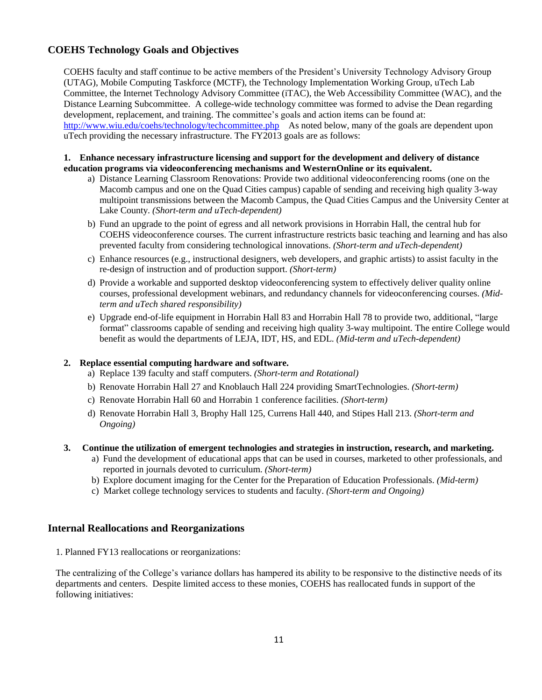# **COEHS Technology Goals and Objectives**

COEHS faculty and staff continue to be active members of the President's University Technology Advisory Group (UTAG), Mobile Computing Taskforce (MCTF), the Technology Implementation Working Group, uTech Lab Committee, the Internet Technology Advisory Committee (iTAC), the Web Accessibility Committee (WAC), and the Distance Learning Subcommittee. A college-wide technology committee was formed to advise the Dean regarding development, replacement, and training. The committee's goals and action items can be found at[:](http://www.wiu.edu/coehs/technology/techcommittee.php) <http://www.wiu.edu/coehs/technology/techcommittee.php> As noted below, many of the goals are dependent upon uTech providing the necessary infrastructure. The FY2013 goals are as follows:

#### **1. Enhance necessary infrastructure licensing and support for the development and delivery of distance education programs via videoconferencing mechanisms and WesternOnline or its equivalent.**

- a) Distance Learning Classroom Renovations: Provide two additional videoconferencing rooms (one on the Macomb campus and one on the Quad Cities campus) capable of sending and receiving high quality 3-way multipoint transmissions between the Macomb Campus, the Quad Cities Campus and the University Center at Lake County. *(Short-term and uTech-dependent)*
- b) Fund an upgrade to the point of egress and all network provisions in Horrabin Hall, the central hub for COEHS videoconference courses. The current infrastructure restricts basic teaching and learning and has also prevented faculty from considering technological innovations. *(Short-term and uTech-dependent)*
- c) Enhance resources (e.g., instructional designers, web developers, and graphic artists) to assist faculty in the re-design of instruction and of production support. *(Short-term)*
- d) Provide a workable and supported desktop videoconferencing system to effectively deliver quality online courses, professional development webinars, and redundancy channels for videoconferencing courses. *(Midterm and uTech shared responsibility)*
- e) Upgrade end-of-life equipment in Horrabin Hall 83 and Horrabin Hall 78 to provide two, additional, "large format" classrooms capable of sending and receiving high quality 3-way multipoint. The entire College would benefit as would the departments of LEJA, IDT, HS, and EDL. *(Mid-term and uTech-dependent)*

# **2. Replace essential computing hardware and software.**

- a) Replace 139 faculty and staff computers. *(Short-term and Rotational)*
- b) Renovate Horrabin Hall 27 and Knoblauch Hall 224 providing SmartTechnologies. *(Short-term)*
- c) Renovate Horrabin Hall 60 and Horrabin 1 conference facilities. *(Short-term)*
- d) Renovate Horrabin Hall 3, Brophy Hall 125, Currens Hall 440, and Stipes Hall 213. *(Short-term and Ongoing)*

#### **3. Continue the utilization of emergent technologies and strategies in instruction, research, and marketing.**

- a) Fund the development of educational apps that can be used in courses, marketed to other professionals, and reported in journals devoted to curriculum. *(Short-term)*
- b) Explore document imaging for the Center for the Preparation of Education Professionals. *(Mid-term)*
- c) Market college technology services to students and faculty. *(Short-term and Ongoing)*

# **Internal Reallocations and Reorganizations**

1. Planned FY13 reallocations or reorganizations:

The centralizing of the College's variance dollars has hampered its ability to be responsive to the distinctive needs of its departments and centers. Despite limited access to these monies, COEHS has reallocated funds in support of the following initiatives: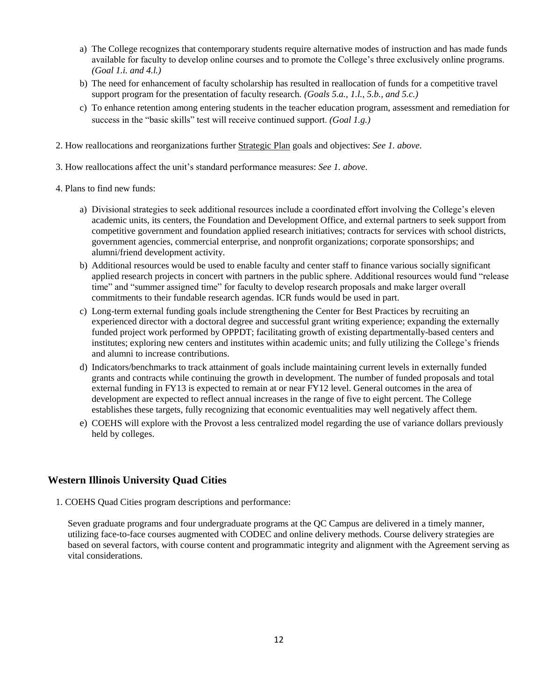- a) The College recognizes that contemporary students require alternative modes of instruction and has made funds available for faculty to develop online courses and to promote the College's three exclusively online programs. *(Goal 1.i. and 4.l.)*
- b) The need for enhancement of faculty scholarship has resulted in reallocation of funds for a competitive travel support program for the presentation of faculty research*. (Goals 5.a., 1.l., 5.b., and 5.c.)*
- c) To enhance retention among entering students in the teacher education program, assessment and remediation for success in the "basic skills" test will receive continued support. *(Goal 1.g.)*
- 2. How reallocations and reorganizations further Strategic Plan goals and objectives: *See 1. above*.
- 3. How reallocations affect the unit's standard performance measures: *See 1. above*.
- 4. Plans to find new funds:
	- a) Divisional strategies to seek additional resources include a coordinated effort involving the College's eleven academic units, its centers, the Foundation and Development Office, and external partners to seek support from competitive government and foundation applied research initiatives; contracts for services with school districts, government agencies, commercial enterprise, and nonprofit organizations; corporate sponsorships; and alumni/friend development activity.
	- b) Additional resources would be used to enable faculty and center staff to finance various socially significant applied research projects in concert with partners in the public sphere. Additional resources would fund "release time" and "summer assigned time" for faculty to develop research proposals and make larger overall commitments to their fundable research agendas. ICR funds would be used in part.
	- c) Long-term external funding goals include strengthening the Center for Best Practices by recruiting an experienced director with a doctoral degree and successful grant writing experience; expanding the externally funded project work performed by OPPDT; facilitating growth of existing departmentally-based centers and institutes; exploring new centers and institutes within academic units; and fully utilizing the College's friends and alumni to increase contributions.
	- d) Indicators/benchmarks to track attainment of goals include maintaining current levels in externally funded grants and contracts while continuing the growth in development. The number of funded proposals and total external funding in FY13 is expected to remain at or near FY12 level. General outcomes in the area of development are expected to reflect annual increases in the range of five to eight percent. The College establishes these targets, fully recognizing that economic eventualities may well negatively affect them.
	- e) COEHS will explore with the Provost a less centralized model regarding the use of variance dollars previously held by colleges.

# **Western Illinois University Quad Cities**

1. COEHS Quad Cities program descriptions and performance:

Seven graduate programs and four undergraduate programs at the QC Campus are delivered in a timely manner, utilizing face-to-face courses augmented with CODEC and online delivery methods. Course delivery strategies are based on several factors, with course content and programmatic integrity and alignment with the Agreement serving as vital considerations.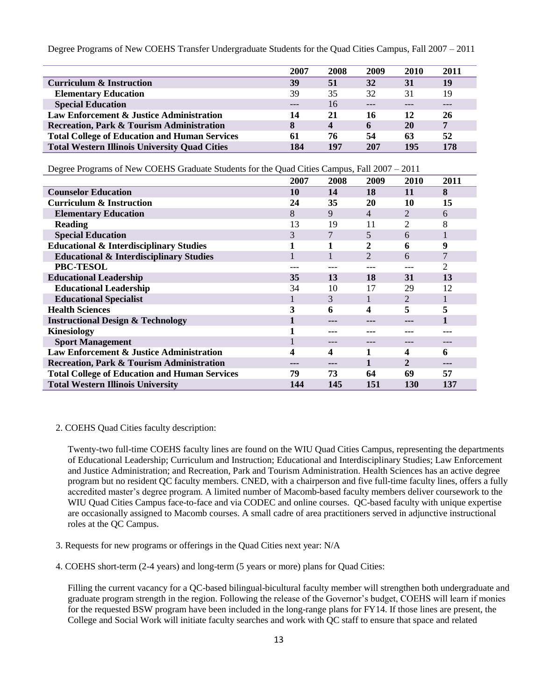Degree Programs of New COEHS Transfer Undergraduate Students for the Quad Cities Campus, Fall 2007 – 2011

|                                                      | 2007 | 2008             | 2009 | 2010 | 2011           |
|------------------------------------------------------|------|------------------|------|------|----------------|
| Curriculum & Instruction                             | 39   | 51               | 32   | 31   | 19             |
| <b>Elementary Education</b>                          | 39   | 35               | 32   | 31   | 19             |
| <b>Special Education</b>                             | ---  | 16               |      |      |                |
| Law Enforcement & Justice Administration             | 14   | 21               | 16   | 12   | 26             |
| <b>Recreation, Park &amp; Tourism Administration</b> | 8    | $\boldsymbol{4}$ | 6    | 20   | $\overline{7}$ |
| <b>Total College of Education and Human Services</b> | 61   | 76               | 54   | 63   | 52             |
| <b>Total Western Illinois University Quad Cities</b> | 184  | 197              | 207  | 195  | 178            |

|  | Degree Programs of New COEHS Graduate Students for the Quad Cities Campus, Fall 2007 – 2011 |  |  |
|--|---------------------------------------------------------------------------------------------|--|--|
|  |                                                                                             |  |  |

|                                                      | 2007 | 2008 | 2009           | 2010           | 2011 |
|------------------------------------------------------|------|------|----------------|----------------|------|
| <b>Counselor Education</b>                           | 10   | 14   | 18             | 11             | 8    |
| <b>Curriculum &amp; Instruction</b>                  | 24   | 35   | 20             | 10             | 15   |
| <b>Elementary Education</b>                          | 8    | 9    | 4              | $\overline{2}$ | 6    |
| <b>Reading</b>                                       | 13   | 19   | 11             | 2              | 8    |
| <b>Special Education</b>                             | 3    | 7    | 5              | 6              | 1    |
| <b>Educational &amp; Interdisciplinary Studies</b>   |      | 1    | 2              | 6              | 9    |
| <b>Educational &amp; Interdisciplinary Studies</b>   |      |      | $\overline{2}$ | 6              | 7    |
| PBC-TESOL                                            |      |      | ---            |                | 2    |
| <b>Educational Leadership</b>                        | 35   | 13   | 18             | 31             | 13   |
| <b>Educational Leadership</b>                        | 34   | 10   | 17             | 29             | 12   |
| <b>Educational Specialist</b>                        |      | 3    |                | 2              | 1    |
| <b>Health Sciences</b>                               | 3    | 6    | 4              | 5              | 5    |
| <b>Instructional Design &amp; Technology</b>         |      |      |                |                |      |
| <b>Kinesiology</b>                                   |      | ---  | ---            |                |      |
| <b>Sport Management</b>                              |      | ---  | ---            |                |      |
| Law Enforcement & Justice Administration             | 4    | 4    |                | 4              | 6    |
| Recreation, Park & Tourism Administration            |      |      |                | 2              |      |
| <b>Total College of Education and Human Services</b> | 79   | 73   | 64             | 69             | 57   |
| <b>Total Western Illinois University</b>             | 144  | 145  | 151            | 130            | 137  |

#### 2. COEHS Quad Cities faculty description:

Twenty-two full-time COEHS faculty lines are found on the WIU Quad Cities Campus, representing the departments of Educational Leadership; Curriculum and Instruction; Educational and Interdisciplinary Studies; Law Enforcement and Justice Administration; and Recreation, Park and Tourism Administration. Health Sciences has an active degree program but no resident QC faculty members. CNED, with a chairperson and five full-time faculty lines, offers a fully accredited master's degree program. A limited number of Macomb-based faculty members deliver coursework to the WIU Quad Cities Campus face-to-face and via CODEC and online courses. QC-based faculty with unique expertise are occasionally assigned to Macomb courses. A small cadre of area practitioners served in adjunctive instructional roles at the QC Campus.

- 3. Requests for new programs or offerings in the Quad Cities next year: N/A
- 4. COEHS short-term (2-4 years) and long-term (5 years or more) plans for Quad Cities:

Filling the current vacancy for a QC-based bilingual-bicultural faculty member will strengthen both undergraduate and graduate program strength in the region. Following the release of the Governor's budget, COEHS will learn if monies for the requested BSW program have been included in the long-range plans for FY14. If those lines are present, the College and Social Work will initiate faculty searches and work with QC staff to ensure that space and related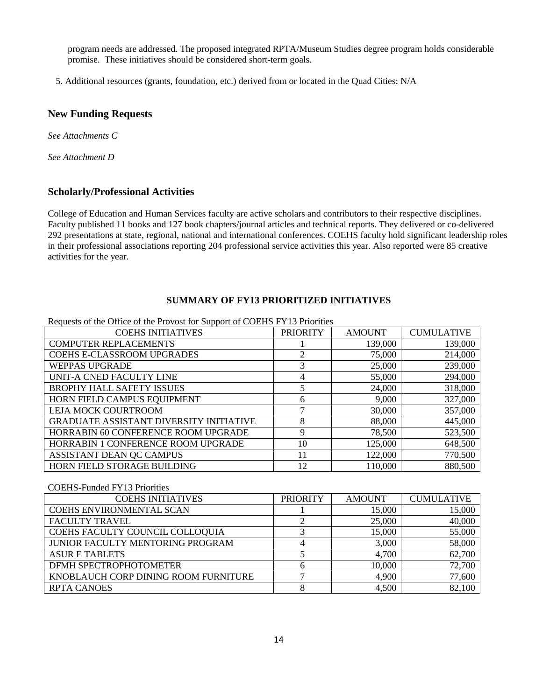program needs are addressed. The proposed integrated RPTA/Museum Studies degree program holds considerable promise. These initiatives should be considered short-term goals.

5. Additional resources (grants, foundation, etc.) derived from or located in the Quad Cities: N/A

# **New Funding Requests**

*See Attachments C*

*See Attachment D*

# **Scholarly/Professional Activities**

College of Education and Human Services faculty are active scholars and contributors to their respective disciplines. Faculty published 11 books and 127 book chapters/journal articles and technical reports. They delivered or co-delivered 292 presentations at state, regional, national and international conferences. COEHS faculty hold significant leadership roles in their professional associations reporting 204 professional service activities this year. Also reported were 85 creative activities for the year.

## **SUMMARY OF FY13 PRIORITIZED INITIATIVES**

| Requests of the Office of the Provost for Support of COEHS FY13 Priorities |                 |               |                   |  |  |
|----------------------------------------------------------------------------|-----------------|---------------|-------------------|--|--|
| <b>COEHS INITIATIVES</b>                                                   | <b>PRIORITY</b> | <b>AMOUNT</b> | <b>CUMULATIVE</b> |  |  |
| <b>COMPUTER REPLACEMENTS</b>                                               |                 | 139,000       | 139,000           |  |  |
| <b>COEHS E-CLASSROOM UPGRADES</b>                                          | 2               | 75,000        | 214,000           |  |  |
| <b>WEPPAS UPGRADE</b>                                                      | 3               | 25,000        | 239,000           |  |  |
| UNIT-A CNED FACULTY LINE                                                   | 4               | 55,000        | 294,000           |  |  |
| <b>BROPHY HALL SAFETY ISSUES</b>                                           | 5               | 24,000        | 318,000           |  |  |
| HORN FIELD CAMPUS EQUIPMENT                                                | 6               | 9,000         | 327,000           |  |  |
| LEJA MOCK COURTROOM                                                        | 7               | 30,000        | 357,000           |  |  |
| <b>GRADUATE ASSISTANT DIVERSITY INITIATIVE</b>                             | 8               | 88,000        | 445,000           |  |  |
| HORRABIN 60 CONFERENCE ROOM UPGRADE                                        | 9               | 78,500        | 523,500           |  |  |
| HORRABIN 1 CONFERENCE ROOM UPGRADE                                         | 10              | 125,000       | 648,500           |  |  |
| ASSISTANT DEAN QC CAMPUS                                                   | 11              | 122,000       | 770,500           |  |  |
| HORN FIELD STORAGE BUILDING                                                | 12              | 110,000       | 880,500           |  |  |

## COEHS-Funded FY13 Priorities

| <b>COEHS INITIATIVES</b>             | <b>PRIORITY</b> | <b>AMOUNT</b> | <b>CUMULATIVE</b> |
|--------------------------------------|-----------------|---------------|-------------------|
| COEHS ENVIRONMENTAL SCAN             |                 | 15,000        | 15,000            |
| <b>FACULTY TRAVEL</b>                |                 | 25,000        | 40,000            |
| COEHS FACULTY COUNCIL COLLOQUIA      |                 | 15,000        | 55,000            |
| JUNIOR FACULTY MENTORING PROGRAM     |                 | 3,000         | 58,000            |
| <b>ASUR E TABLETS</b>                |                 | 4,700         | 62,700            |
| DFMH SPECTROPHOTOMETER               |                 | 10,000        | 72,700            |
| KNOBLAUCH CORP DINING ROOM FURNITURE |                 | 4,900         | 77,600            |
| <b>RPTA CANOES</b>                   |                 | 4,500         | 82,100            |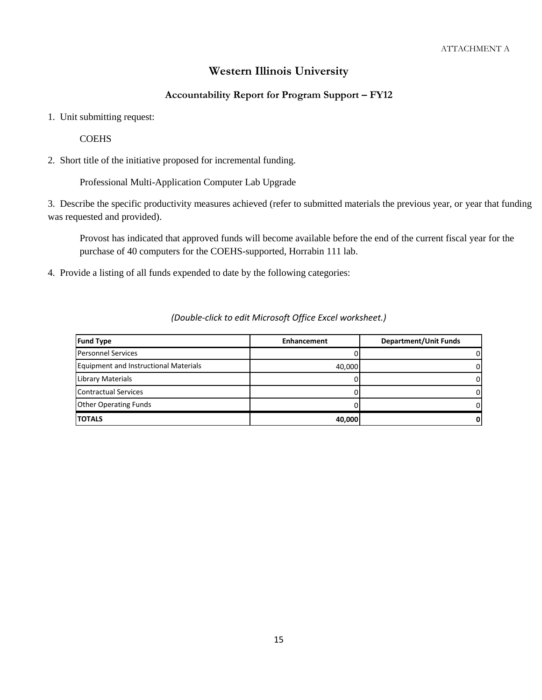# **Western Illinois University**

# **Accountability Report for Program Support – FY12**

1. Unit submitting request:

**COEHS** 

2. Short title of the initiative proposed for incremental funding.

Professional Multi-Application Computer Lab Upgrade

3. Describe the specific productivity measures achieved (refer to submitted materials the previous year, or year that funding was requested and provided).

Provost has indicated that approved funds will become available before the end of the current fiscal year for the purchase of 40 computers for the COEHS-supported, Horrabin 111 lab.

4. Provide a listing of all funds expended to date by the following categories:

| <b>Fund Type</b>                             | <b>Enhancement</b> | <b>Department/Unit Funds</b> |
|----------------------------------------------|--------------------|------------------------------|
| <b>Personnel Services</b>                    |                    |                              |
| <b>Equipment and Instructional Materials</b> | 40.000             |                              |
| Library Materials                            |                    |                              |
| <b>Contractual Services</b>                  |                    |                              |
| <b>Other Operating Funds</b>                 |                    |                              |
| <b>TOTALS</b>                                | 40,000             |                              |

#### *(Double-click to edit Microsoft Office Excel worksheet.)*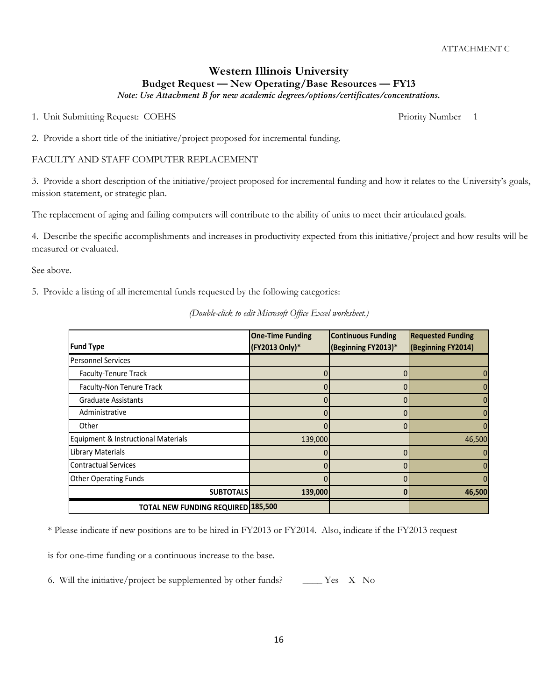# **Western Illinois University Budget Request — New Operating/Base Resources — FY13**

*Note: Use Attachment B for new academic degrees/options/certificates/concentrations.*

1. Unit Submitting Request: COEHS Priority Number 1

2. Provide a short title of the initiative/project proposed for incremental funding.

#### FACULTY AND STAFF COMPUTER REPLACEMENT

3. Provide a short description of the initiative/project proposed for incremental funding and how it relates to the University's goals, mission statement, or strategic plan.

The replacement of aging and failing computers will contribute to the ability of units to meet their articulated goals.

4. Describe the specific accomplishments and increases in productivity expected from this initiative/project and how results will be measured or evaluated.

See above.

5. Provide a listing of all incremental funds requested by the following categories:

*(Double-click to edit Microsoft Office Excel worksheet.)*

|                                           | <b>One-Time Funding</b> | <b>Continuous Funding</b> | <b>Requested Funding</b> |
|-------------------------------------------|-------------------------|---------------------------|--------------------------|
| <b>Fund Type</b>                          | (FY2013 Only)*          | (Beginning FY2013)*       | (Beginning FY2014)       |
| <b>Personnel Services</b>                 |                         |                           |                          |
| Faculty-Tenure Track                      |                         | $\Omega$                  | 0                        |
| Faculty-Non Tenure Track                  |                         | 0                         | ŋ                        |
| <b>Graduate Assistants</b>                |                         | 0                         |                          |
| Administrative                            | 0                       | $\Omega$                  | $\Omega$                 |
| Other                                     |                         | $\mathbf{0}$              | $\mathbf{0}$             |
| Equipment & Instructional Materials       | 139,000                 |                           | 46,500                   |
| Library Materials                         | 0                       | $\Omega$                  | $\Omega$                 |
| <b>Contractual Services</b>               |                         | $\Omega$                  | $\Omega$                 |
| <b>Other Operating Funds</b>              |                         | 0                         |                          |
| <b>SUBTOTALS</b>                          | 139,000                 | 0                         | 46,500                   |
| <b>TOTAL NEW FUNDING REQUIRED 185,500</b> |                         |                           |                          |

\* Please indicate if new positions are to be hired in FY2013 or FY2014. Also, indicate if the FY2013 request

is for one-time funding or a continuous increase to the base.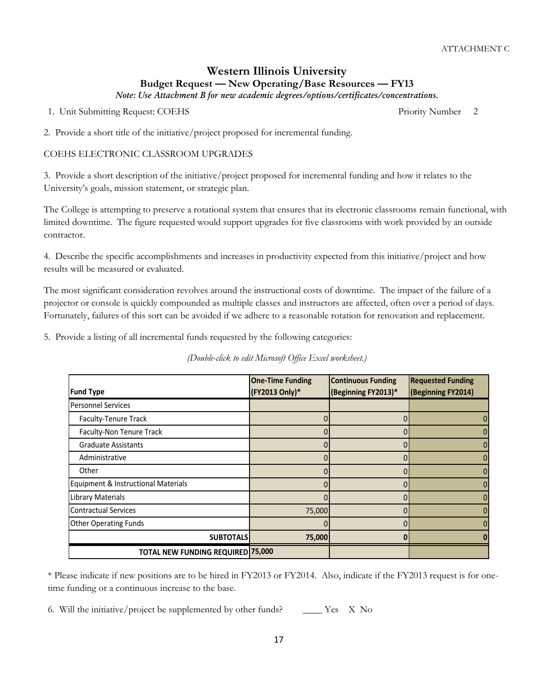1. Unit Submitting Request: COEHS Priority Number 2

2. Provide a short title of the initiative/project proposed for incremental funding.

#### COEHS ELECTRONIC CLASSROOM UPGRADES

3. Provide a short description of the initiative/project proposed for incremental funding and how it relates to the University's goals, mission statement, or strategic plan.

The College is attempting to preserve a rotational system that ensures that its electronic classrooms remain functional, with limited downtime. The figure requested would support upgrades for five classrooms with work provided by an outside contractor.

4. Describe the specific accomplishments and increases in productivity expected from this initiative/project and how results will be measured or evaluated.

The most significant consideration revolves around the instructional costs of downtime. The impact of the failure of a projector or console is quickly compounded as multiple classes and instructors are affected, often over a period of days. Fortunately, failures of this sort can be avoided if we adhere to a reasonable rotation for renovation and replacement.

5. Provide a listing of all incremental funds requested by the following categories:

*(Double-click to edit Microsoft Office Excel worksheet.)*

| <b>Fund Type</b>                         | <b>One-Time Funding</b><br>(FY2013 Only)* | <b>Continuous Funding</b><br>(Beginning FY2013)* | <b>Requested Funding</b><br>(Beginning FY2014) |
|------------------------------------------|-------------------------------------------|--------------------------------------------------|------------------------------------------------|
| <b>Personnel Services</b>                |                                           |                                                  |                                                |
| Faculty-Tenure Track                     | 0                                         | 0                                                | 0                                              |
| Faculty-Non Tenure Track                 | 0                                         | 0                                                | 0                                              |
| <b>Graduate Assistants</b>               |                                           |                                                  | $\mathbf{0}$                                   |
| Administrative                           | 0                                         | 0                                                | 0                                              |
| Other                                    |                                           |                                                  | 0                                              |
| Equipment & Instructional Materials      |                                           |                                                  | $\mathbf{0}$                                   |
| <b>Library Materials</b>                 | 0                                         | 0                                                | $\mathbf{0}$                                   |
| <b>Contractual Services</b>              | 75,000                                    | 0                                                | $\overline{0}$                                 |
| <b>Other Operating Funds</b>             | 0                                         | 0                                                | $\mathbf{0}$                                   |
| <b>SUBTOTALS</b>                         | 75,000                                    |                                                  | Ω                                              |
| <b>TOTAL NEW FUNDING REQUIRED 75,000</b> |                                           |                                                  |                                                |

\* Please indicate if new positions are to be hired in FY2013 or FY2014. Also, indicate if the FY2013 request is for onetime funding or a continuous increase to the base.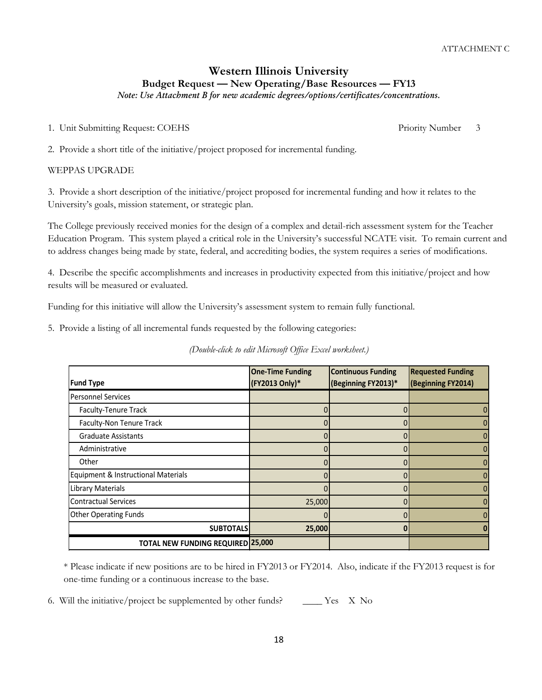1. Unit Submitting Request: COEHS Priority Number 3

2. Provide a short title of the initiative/project proposed for incremental funding.

#### WEPPAS UPGRADE

3. Provide a short description of the initiative/project proposed for incremental funding and how it relates to the University's goals, mission statement, or strategic plan.

The College previously received monies for the design of a complex and detail-rich assessment system for the Teacher Education Program. This system played a critical role in the University's successful NCATE visit. To remain current and to address changes being made by state, federal, and accrediting bodies, the system requires a series of modifications.

4. Describe the specific accomplishments and increases in productivity expected from this initiative/project and how results will be measured or evaluated.

Funding for this initiative will allow the University's assessment system to remain fully functional.

5. Provide a listing of all incremental funds requested by the following categories:

|  | (Double-click to edit Microsoft Office Excel worksheet.) |  |
|--|----------------------------------------------------------|--|
|  |                                                          |  |

| <b>Fund Type</b>                         | <b>One-Time Funding</b><br>(FY2013 Only)* | <b>Continuous Funding</b><br>(Beginning FY2013)* | <b>Requested Funding</b><br>(Beginning FY2014) |
|------------------------------------------|-------------------------------------------|--------------------------------------------------|------------------------------------------------|
| <b>Personnel Services</b>                |                                           |                                                  |                                                |
| Faculty-Tenure Track                     |                                           |                                                  | 0                                              |
| Faculty-Non Tenure Track                 |                                           |                                                  | 0                                              |
| <b>Graduate Assistants</b>               |                                           |                                                  | 0                                              |
| Administrative                           |                                           | 0                                                | $\mathbf{0}$                                   |
| Other                                    |                                           | 0                                                | $\overline{0}$                                 |
| Equipment & Instructional Materials      |                                           |                                                  | 0                                              |
| Library Materials                        |                                           | N                                                | $\mathbf{0}$                                   |
| <b>Contractual Services</b>              | 25,000                                    |                                                  | $\overline{0}$                                 |
| <b>Other Operating Funds</b>             |                                           |                                                  | $\mathbf{0}$                                   |
| <b>SUBTOTALS</b>                         | 25,000                                    |                                                  |                                                |
| <b>TOTAL NEW FUNDING REQUIRED 25,000</b> |                                           |                                                  |                                                |

\* Please indicate if new positions are to be hired in FY2013 or FY2014. Also, indicate if the FY2013 request is for one-time funding or a continuous increase to the base.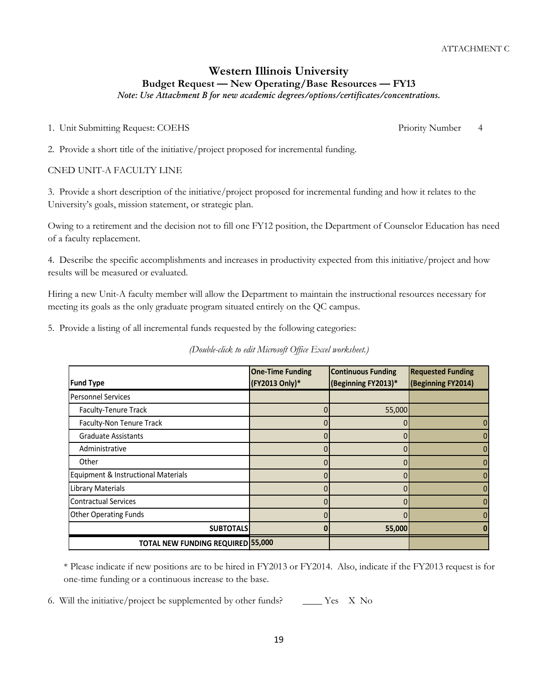# **Western Illinois University Budget Request — New Operating/Base Resources — FY13**

*Note: Use Attachment B for new academic degrees/options/certificates/concentrations.*

1. Unit Submitting Request: COEHS Priority Number 4

2. Provide a short title of the initiative/project proposed for incremental funding.

# CNED UNIT-A FACULTY LINE

3. Provide a short description of the initiative/project proposed for incremental funding and how it relates to the University's goals, mission statement, or strategic plan.

Owing to a retirement and the decision not to fill one FY12 position, the Department of Counselor Education has need of a faculty replacement.

4. Describe the specific accomplishments and increases in productivity expected from this initiative/project and how results will be measured or evaluated.

Hiring a new Unit-A faculty member will allow the Department to maintain the instructional resources necessary for meeting its goals as the only graduate program situated entirely on the QC campus.

5. Provide a listing of all incremental funds requested by the following categories:

*(Double-click to edit Microsoft Office Excel worksheet.)*

| <b>Fund Type</b>                    | <b>One-Time Funding</b><br>(FY2013 Only)* | <b>Continuous Funding</b><br>(Beginning FY2013)* | <b>Requested Funding</b><br>(Beginning FY2014) |  |
|-------------------------------------|-------------------------------------------|--------------------------------------------------|------------------------------------------------|--|
| <b>Personnel Services</b>           |                                           |                                                  |                                                |  |
| Faculty-Tenure Track                |                                           | 55,000                                           |                                                |  |
| Faculty-Non Tenure Track            |                                           |                                                  | 0                                              |  |
| <b>Graduate Assistants</b>          |                                           |                                                  |                                                |  |
| Administrative                      |                                           | 0                                                |                                                |  |
| Other                               |                                           |                                                  |                                                |  |
| Equipment & Instructional Materials |                                           |                                                  |                                                |  |
| <b>Library Materials</b>            | 0                                         | $\Omega$                                         |                                                |  |
| <b>Contractual Services</b>         |                                           |                                                  |                                                |  |
| <b>Other Operating Funds</b>        |                                           |                                                  |                                                |  |
| <b>SUBTOTALS</b>                    |                                           | 55,000                                           |                                                |  |
| TOTAL NEW FUNDING REQUIRED 55,000   |                                           |                                                  |                                                |  |

\* Please indicate if new positions are to be hired in FY2013 or FY2014. Also, indicate if the FY2013 request is for one-time funding or a continuous increase to the base.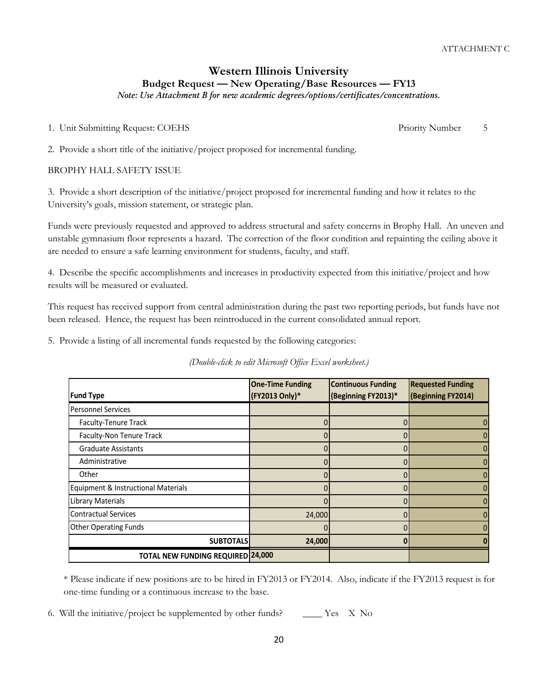1. Unit Submitting Request: COEHS Priority Number 5

2. Provide a short title of the initiative/project proposed for incremental funding.

## BROPHY HALL SAFETY ISSUE

3. Provide a short description of the initiative/project proposed for incremental funding and how it relates to the University's goals, mission statement, or strategic plan.

Funds were previously requested and approved to address structural and safety concerns in Brophy Hall. An uneven and unstable gymnasium floor represents a hazard. The correction of the floor condition and repainting the ceiling above it are needed to ensure a safe learning environment for students, faculty, and staff.

4. Describe the specific accomplishments and increases in productivity expected from this initiative/project and how results will be measured or evaluated.

This request has received support from central administration during the past two reporting periods, but funds have not been released. Hence, the request has been reintroduced in the current consolidated annual report.

5. Provide a listing of all incremental funds requested by the following categories:

*(Double-click to edit Microsoft Office Excel worksheet.)*

| <b>Fund Type</b>                         | <b>One-Time Funding</b><br>(FY2013 Only)* | <b>Continuous Funding</b><br>(Beginning FY2013)* | <b>Requested Funding</b><br>(Beginning FY2014) |
|------------------------------------------|-------------------------------------------|--------------------------------------------------|------------------------------------------------|
| <b>Personnel Services</b>                |                                           |                                                  |                                                |
| Faculty-Tenure Track                     |                                           | 0                                                | 0                                              |
| Faculty-Non Tenure Track                 | 0                                         | 0                                                | 0                                              |
| <b>Graduate Assistants</b>               |                                           | 0                                                | 0                                              |
| Administrative                           | 0                                         | 0                                                | $\mathbf{0}$                                   |
| Other                                    | 0                                         | 0                                                | 0                                              |
| Equipment & Instructional Materials      |                                           |                                                  | $\mathbf{0}$                                   |
| Library Materials                        | 0                                         | 0                                                | 0                                              |
| <b>Contractual Services</b>              | 24,000                                    | 0                                                | 0                                              |
| <b>Other Operating Funds</b>             |                                           |                                                  | 0                                              |
| <b>SUBTOTALS</b>                         | 24,000                                    | ŋ                                                |                                                |
| <b>TOTAL NEW FUNDING REQUIRED 24,000</b> |                                           |                                                  |                                                |

\* Please indicate if new positions are to be hired in FY2013 or FY2014. Also, indicate if the FY2013 request is for one-time funding or a continuous increase to the base.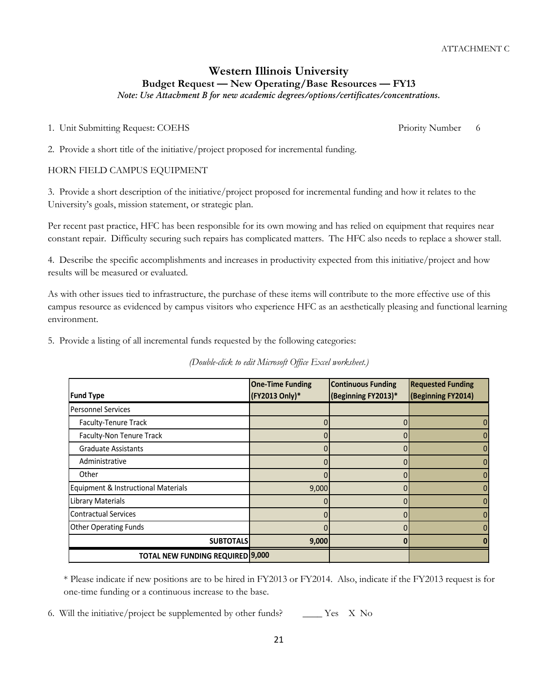# **Western Illinois University Budget Request — New Operating/Base Resources — FY13**

*Note: Use Attachment B for new academic degrees/options/certificates/concentrations.*

1. Unit Submitting Request: COEHS Priority Number 6

2. Provide a short title of the initiative/project proposed for incremental funding.

## HORN FIELD CAMPUS EQUIPMENT

3. Provide a short description of the initiative/project proposed for incremental funding and how it relates to the University's goals, mission statement, or strategic plan.

Per recent past practice, HFC has been responsible for its own mowing and has relied on equipment that requires near constant repair. Difficulty securing such repairs has complicated matters. The HFC also needs to replace a shower stall.

4. Describe the specific accomplishments and increases in productivity expected from this initiative/project and how results will be measured or evaluated.

As with other issues tied to infrastructure, the purchase of these items will contribute to the more effective use of this campus resource as evidenced by campus visitors who experience HFC as an aesthetically pleasing and functional learning environment.

5. Provide a listing of all incremental funds requested by the following categories:

*(Double-click to edit Microsoft Office Excel worksheet.)*

| <b>Fund Type</b>                        | <b>One-Time Funding</b><br><b>Continuous Funding</b><br>(FY2013 Only)*<br>(Beginning FY2013)* |          | <b>Requested Funding</b><br>(Beginning FY2014) |  |
|-----------------------------------------|-----------------------------------------------------------------------------------------------|----------|------------------------------------------------|--|
| <b>Personnel Services</b>               |                                                                                               |          |                                                |  |
| <b>Faculty-Tenure Track</b>             | 0                                                                                             | 0        | $\mathbf{0}$                                   |  |
| Faculty-Non Tenure Track                | 0                                                                                             | 0        | 0                                              |  |
| <b>Graduate Assistants</b>              |                                                                                               |          | $\mathbf{0}$                                   |  |
| Administrative                          | 0                                                                                             | 0        | 0                                              |  |
| Other                                   | 0                                                                                             |          | $\overline{0}$                                 |  |
| Equipment & Instructional Materials     | 9,000                                                                                         | $\Omega$ | $\overline{0}$                                 |  |
| Library Materials                       |                                                                                               | $\Omega$ | $\overline{0}$                                 |  |
| <b>Contractual Services</b>             |                                                                                               |          | $\mathbf{0}$                                   |  |
| <b>Other Operating Funds</b>            | 0                                                                                             | 0        | $\mathbf{0}$                                   |  |
| <b>SUBTOTALS</b>                        | 9,000                                                                                         | 0        | n                                              |  |
| <b>TOTAL NEW FUNDING REQUIRED 9,000</b> |                                                                                               |          |                                                |  |

\* Please indicate if new positions are to be hired in FY2013 or FY2014. Also, indicate if the FY2013 request is for one-time funding or a continuous increase to the base.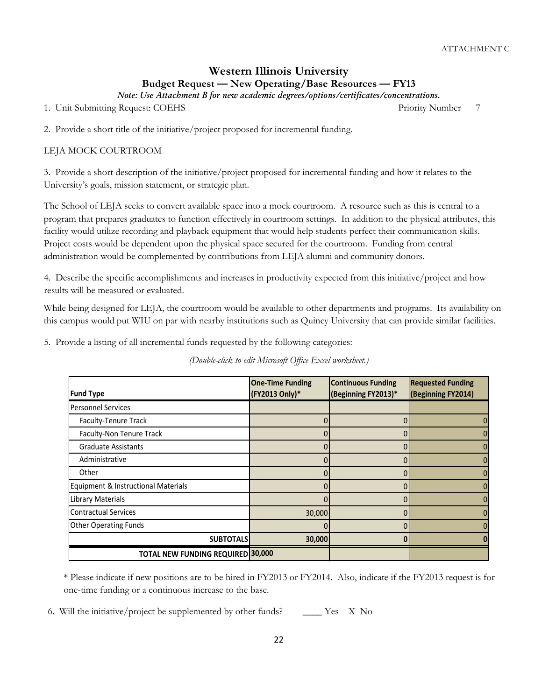# **Western Illinois University Budget Request — New Operating/Base Resources — FY13**

*Note: Use Attachment B for new academic degrees/options/certificates/concentrations.*

1. Unit Submitting Request: COEHS Priority Number 7

2. Provide a short title of the initiative/project proposed for incremental funding.

# LEJA MOCK COURTROOM

3. Provide a short description of the initiative/project proposed for incremental funding and how it relates to the University's goals, mission statement, or strategic plan.

The School of LEJA seeks to convert available space into a mock courtroom. A resource such as this is central to a program that prepares graduates to function effectively in courtroom settings. In addition to the physical attributes, this facility would utilize recording and playback equipment that would help students perfect their communication skills. Project costs would be dependent upon the physical space secured for the courtroom. Funding from central administration would be complemented by contributions from LEJA alumni and community donors.

4. Describe the specific accomplishments and increases in productivity expected from this initiative/project and how results will be measured or evaluated.

While being designed for LEJA, the courtroom would be available to other departments and programs. Its availability on this campus would put WIU on par with nearby institutions such as Quincy University that can provide similar facilities.

5. Provide a listing of all incremental funds requested by the following categories:

*(Double-click to edit Microsoft Office Excel worksheet.)*

| <b>Fund Type</b>                         | <b>One-Time Funding</b><br><b>Continuous Funding</b><br>(FY2013 Only)*<br>(Beginning FY2013)* |   | <b>Requested Funding</b><br>(Beginning FY2014) |  |
|------------------------------------------|-----------------------------------------------------------------------------------------------|---|------------------------------------------------|--|
| <b>Personnel Services</b>                |                                                                                               |   |                                                |  |
| Faculty-Tenure Track                     |                                                                                               |   | 0                                              |  |
| Faculty-Non Tenure Track                 | 0                                                                                             | 0 | 0                                              |  |
| <b>Graduate Assistants</b>               |                                                                                               |   | $\mathbf{0}$                                   |  |
| Administrative                           | 0                                                                                             | 0 | 0                                              |  |
| Other                                    |                                                                                               |   | 0                                              |  |
| Equipment & Instructional Materials      |                                                                                               | 0 | $\mathbf{0}$                                   |  |
| <b>Library Materials</b>                 | 0                                                                                             | 0 | $\mathbf{0}$                                   |  |
| <b>Contractual Services</b>              | 30,000                                                                                        | 0 | $\overline{0}$                                 |  |
| <b>Other Operating Funds</b>             | 0                                                                                             |   | $\mathbf{0}$                                   |  |
| <b>SUBTOTALS</b>                         | 30,000                                                                                        | n | n                                              |  |
| <b>TOTAL NEW FUNDING REQUIRED 30,000</b> |                                                                                               |   |                                                |  |

\* Please indicate if new positions are to be hired in FY2013 or FY2014. Also, indicate if the FY2013 request is for one-time funding or a continuous increase to the base.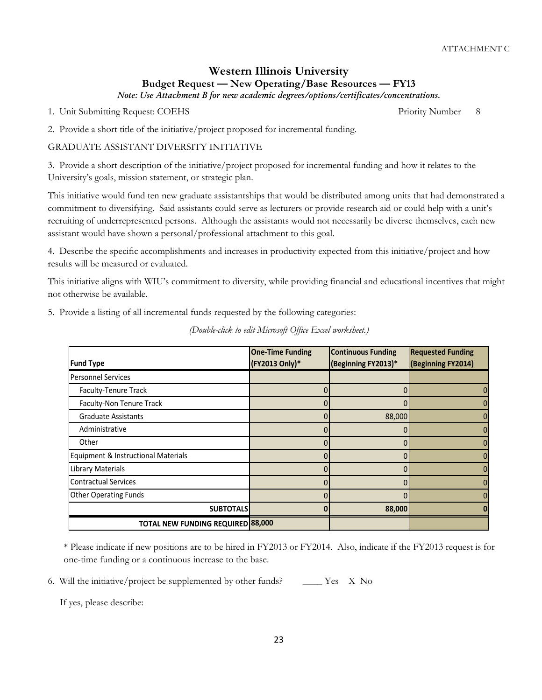1. Unit Submitting Request: COEHS Priority Number 8

2. Provide a short title of the initiative/project proposed for incremental funding.

## GRADUATE ASSISTANT DIVERSITY INITIATIVE

3. Provide a short description of the initiative/project proposed for incremental funding and how it relates to the University's goals, mission statement, or strategic plan.

This initiative would fund ten new graduate assistantships that would be distributed among units that had demonstrated a commitment to diversifying. Said assistants could serve as lecturers or provide research aid or could help with a unit's recruiting of underrepresented persons. Although the assistants would not necessarily be diverse themselves, each new assistant would have shown a personal/professional attachment to this goal.

4. Describe the specific accomplishments and increases in productivity expected from this initiative/project and how results will be measured or evaluated.

This initiative aligns with WIU's commitment to diversity, while providing financial and educational incentives that might not otherwise be available.

5. Provide a listing of all incremental funds requested by the following categories:

|                                          | <b>One-Time Funding</b> | <b>Continuous Funding</b> | <b>Requested Funding</b> |
|------------------------------------------|-------------------------|---------------------------|--------------------------|
| <b>Fund Type</b>                         | (FY2013 Only)*          | (Beginning FY2013)*       | (Beginning FY2014)       |
| <b>Personnel Services</b>                |                         |                           |                          |
| Faculty-Tenure Track                     | 0                       | 0                         |                          |
| Faculty-Non Tenure Track                 |                         |                           |                          |
| <b>Graduate Assistants</b>               |                         | 88,000                    |                          |
| Administrative                           |                         | O                         | 0                        |
| Other                                    |                         |                           |                          |
| Equipment & Instructional Materials      |                         |                           |                          |
| <b>Library Materials</b>                 |                         |                           |                          |
| <b>Contractual Services</b>              |                         | 0                         |                          |
| <b>Other Operating Funds</b>             |                         |                           |                          |
| <b>SUBTOTALS</b>                         |                         | 88,000                    |                          |
| <b>TOTAL NEW FUNDING REQUIRED 88,000</b> |                         |                           |                          |

*(Double-click to edit Microsoft Office Excel worksheet.)*

\* Please indicate if new positions are to be hired in FY2013 or FY2014. Also, indicate if the FY2013 request is for one-time funding or a continuous increase to the base.

6. Will the initiative/project be supplemented by other funds?  $\qquad \qquad \boxed{\phantom{1}}$  Yes X No

If yes, please describe: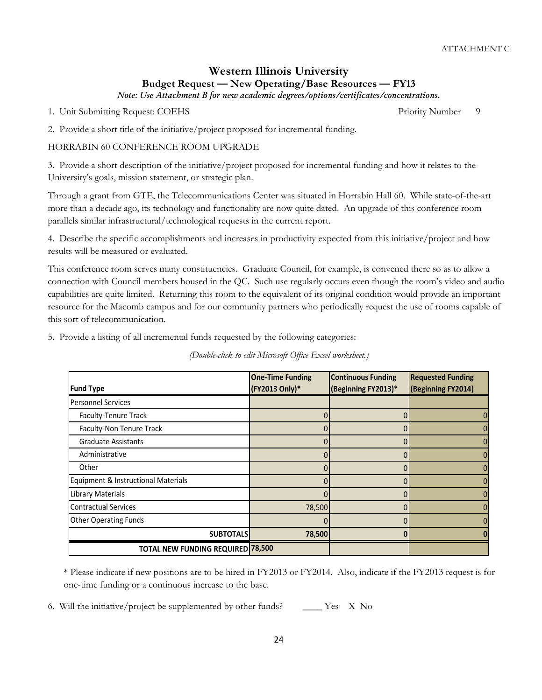1. Unit Submitting Request: COEHS Priority Number 9

2. Provide a short title of the initiative/project proposed for incremental funding.

## HORRABIN 60 CONFERENCE ROOM UPGRADE

3. Provide a short description of the initiative/project proposed for incremental funding and how it relates to the University's goals, mission statement, or strategic plan.

Through a grant from GTE, the Telecommunications Center was situated in Horrabin Hall 60. While state-of-the-art more than a decade ago, its technology and functionality are now quite dated. An upgrade of this conference room parallels similar infrastructural/technological requests in the current report.

4. Describe the specific accomplishments and increases in productivity expected from this initiative/project and how results will be measured or evaluated.

This conference room serves many constituencies. Graduate Council, for example, is convened there so as to allow a connection with Council members housed in the QC. Such use regularly occurs even though the room's video and audio capabilities are quite limited. Returning this room to the equivalent of its original condition would provide an important resource for the Macomb campus and for our community partners who periodically request the use of rooms capable of this sort of telecommunication.

5. Provide a listing of all incremental funds requested by the following categories:

|                                          | <b>One-Time Funding</b> | <b>Continuous Funding</b> | <b>Requested Funding</b> |   |
|------------------------------------------|-------------------------|---------------------------|--------------------------|---|
| <b>Fund Type</b>                         | (FY2013 Only)*          | (Beginning FY2013)*       | (Beginning FY2014)       |   |
| <b>Personnel Services</b>                |                         |                           |                          |   |
| Faculty-Tenure Track                     |                         |                           |                          |   |
| Faculty-Non Tenure Track                 | 0                       | 0                         |                          |   |
| <b>Graduate Assistants</b>               |                         | 0                         |                          | 0 |
| Administrative                           | 0                       | 0                         |                          |   |
| Other                                    |                         | 0                         |                          |   |
| Equipment & Instructional Materials      | <sup>0</sup>            | 0                         |                          |   |
| Library Materials                        |                         | 0                         |                          |   |
| <b>Contractual Services</b>              | 78,500                  | 0                         |                          | 0 |
| <b>Other Operating Funds</b>             | 0                       | 0                         |                          | 0 |
| <b>SUBTOTALS</b>                         | 78,500                  | o                         |                          |   |
| <b>TOTAL NEW FUNDING REQUIRED 78,500</b> |                         |                           |                          |   |

*(Double-click to edit Microsoft Office Excel worksheet.)*

\* Please indicate if new positions are to be hired in FY2013 or FY2014. Also, indicate if the FY2013 request is for one-time funding or a continuous increase to the base.

6. Will the initiative/project be supplemented by other funds?  $\qquad \qquad \qquad$  Yes X No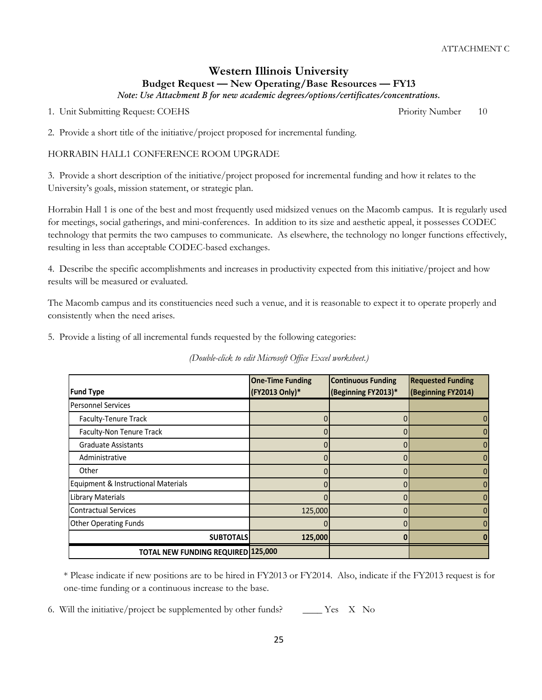1. Unit Submitting Request: COEHS Priority Number 10

2. Provide a short title of the initiative/project proposed for incremental funding.

#### HORRABIN HALL1 CONFERENCE ROOM UPGRADE

3. Provide a short description of the initiative/project proposed for incremental funding and how it relates to the University's goals, mission statement, or strategic plan.

Horrabin Hall 1 is one of the best and most frequently used midsized venues on the Macomb campus. It is regularly used for meetings, social gatherings, and mini-conferences. In addition to its size and aesthetic appeal, it possesses CODEC technology that permits the two campuses to communicate. As elsewhere, the technology no longer functions effectively, resulting in less than acceptable CODEC-based exchanges.

4. Describe the specific accomplishments and increases in productivity expected from this initiative/project and how results will be measured or evaluated.

The Macomb campus and its constituencies need such a venue, and it is reasonable to expect it to operate properly and consistently when the need arises.

5. Provide a listing of all incremental funds requested by the following categories:

| <b>Fund Type</b>                          | <b>Continuous Funding</b><br><b>One-Time Funding</b><br>(FY2013 Only)*<br>(Beginning FY2013)* |   | <b>Requested Funding</b><br>(Beginning FY2014) |  |
|-------------------------------------------|-----------------------------------------------------------------------------------------------|---|------------------------------------------------|--|
| <b>Personnel Services</b>                 |                                                                                               |   |                                                |  |
| Faculty-Tenure Track                      | O                                                                                             |   |                                                |  |
| Faculty-Non Tenure Track                  |                                                                                               |   |                                                |  |
| <b>Graduate Assistants</b>                |                                                                                               |   |                                                |  |
| Administrative                            | ŋ                                                                                             |   |                                                |  |
| Other                                     |                                                                                               | 0 |                                                |  |
| Equipment & Instructional Materials       | O                                                                                             |   |                                                |  |
| <b>Library Materials</b>                  |                                                                                               |   |                                                |  |
| <b>Contractual Services</b>               | 125,000                                                                                       |   |                                                |  |
| <b>Other Operating Funds</b>              |                                                                                               |   |                                                |  |
| <b>SUBTOTALS</b>                          | 125,000                                                                                       |   |                                                |  |
| <b>TOTAL NEW FUNDING REQUIRED 125,000</b> |                                                                                               |   |                                                |  |

\* Please indicate if new positions are to be hired in FY2013 or FY2014. Also, indicate if the FY2013 request is for one-time funding or a continuous increase to the base.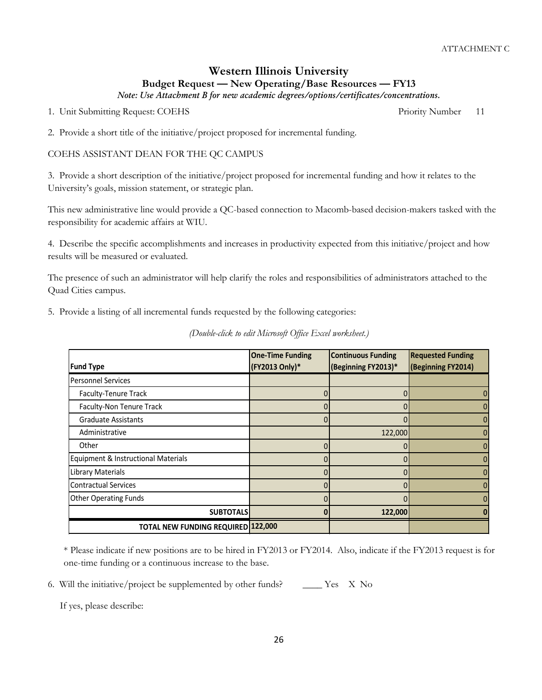1. Unit Submitting Request: COEHS Priority Number 21

2. Provide a short title of the initiative/project proposed for incremental funding.

#### COEHS ASSISTANT DEAN FOR THE QC CAMPUS

3. Provide a short description of the initiative/project proposed for incremental funding and how it relates to the University's goals, mission statement, or strategic plan.

This new administrative line would provide a QC-based connection to Macomb-based decision-makers tasked with the responsibility for academic affairs at WIU.

4. Describe the specific accomplishments and increases in productivity expected from this initiative/project and how results will be measured or evaluated.

The presence of such an administrator will help clarify the roles and responsibilities of administrators attached to the Quad Cities campus.

5. Provide a listing of all incremental funds requested by the following categories:

|                                           | <b>One-Time Funding</b> | <b>Continuous Funding</b> | <b>Requested Funding</b> |
|-------------------------------------------|-------------------------|---------------------------|--------------------------|
| <b>Fund Type</b>                          | (FY2013 Only)*          | (Beginning FY2013)*       | (Beginning FY2014)       |
| <b>Personnel Services</b>                 |                         |                           |                          |
| <b>Faculty-Tenure Track</b>               |                         |                           | 0                        |
| Faculty-Non Tenure Track                  |                         |                           | 0                        |
| <b>Graduate Assistants</b>                | 0                       |                           | 0                        |
| Administrative                            |                         | 122,000                   | $\overline{0}$           |
| Other                                     |                         |                           | 0                        |
| Equipment & Instructional Materials       |                         |                           | $\mathbf{0}$             |
| Library Materials                         | 0                       | 0                         | $\mathbf{0}$             |
| <b>Contractual Services</b>               | 0                       | 0                         | 0                        |
| <b>Other Operating Funds</b>              |                         |                           | $\mathbf{0}$             |
| <b>SUBTOTALS</b>                          | ŋ                       | 122,000                   |                          |
| <b>TOTAL NEW FUNDING REQUIRED 122,000</b> |                         |                           |                          |

*(Double-click to edit Microsoft Office Excel worksheet.)*

\* Please indicate if new positions are to be hired in FY2013 or FY2014. Also, indicate if the FY2013 request is for one-time funding or a continuous increase to the base.

6. Will the initiative/project be supplemented by other funds?  $\qquad \qquad \boxed{\phantom{1}}$  Yes X No

If yes, please describe: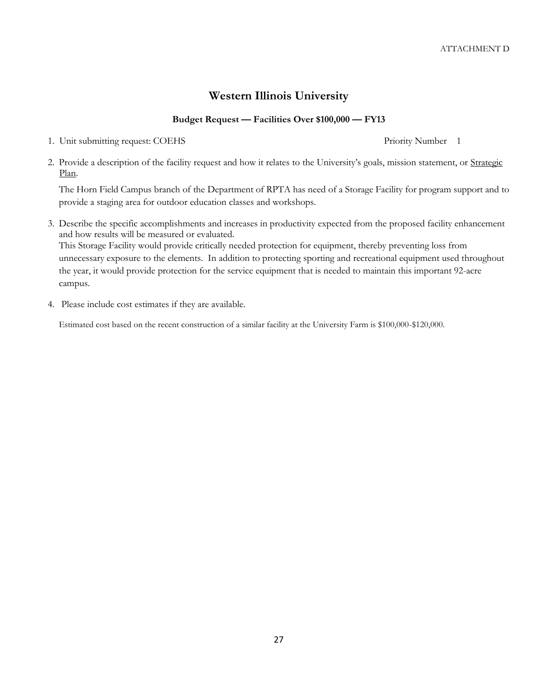# **Western Illinois University**

# **Budget Request — Facilities Over \$100,000 — FY13**

- 1. Unit submitting request: COEHS Priority Number 1
- 2. Provide a description of the facility request and how it relates to the University's goals, mission statement, or Strategic Plan.

The Horn Field Campus branch of the Department of RPTA has need of a Storage Facility for program support and to provide a staging area for outdoor education classes and workshops.

3. Describe the specific accomplishments and increases in productivity expected from the proposed facility enhancement and how results will be measured or evaluated.

This Storage Facility would provide critically needed protection for equipment, thereby preventing loss from unnecessary exposure to the elements. In addition to protecting sporting and recreational equipment used throughout the year, it would provide protection for the service equipment that is needed to maintain this important 92-acre campus.

4. Please include cost estimates if they are available.

Estimated cost based on the recent construction of a similar facility at the University Farm is \$100,000-\$120,000.